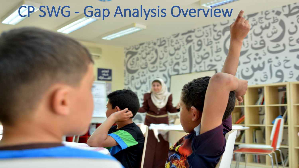## CP SWG - Gap Analysis Overview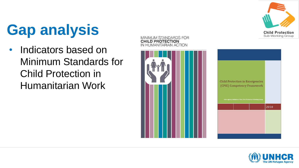

## **Gap analysis**

• Indicators based on Minimum Standards for Child Protection in Humanitarian Work





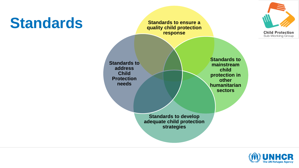



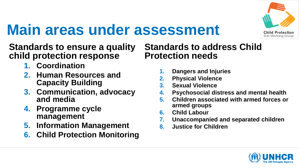

## **Main areas under assessment**

#### **Standards to ensure a quality child protection response**

- **1. Coordination**
- **2. Human Resources and Capacity Building**
- **3. Communication, advocacy and media**
- **4. Programme cycle management**
- **5. Information Management**
- **6. Child Protection Monitoring**

#### **Standards to address Child Protection needs**

- **1. Dangers and Injuries**
- **2. Physical Violence**
- **3. Sexual Violence**
- **4. Psychosocial distress and mental health**
- **5. Children associated with armed forces or armed groups**
- **6. Child Labour**
- **7. Unaccompanied and separated children**
- **8. Justice for Children**

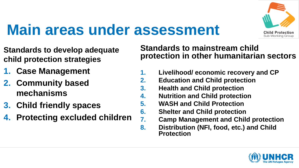

#### **Main areas under assessment**

- **Standards to develop adequate child protection strategies**
- **1. Case Management**
- **2. Community based mechanisms**
- **3. Child friendly spaces**
- **4. Protecting excluded children**

#### **Standards to mainstream child protection in other humanitarian sectors**

- **1. Livelihood/ economic recovery and CP**
- **2. Education and Child protection**
- **3. Health and Child protection**
- **4. Nutrition and Child protection**
- **5. WASH and Child Protection**
- **6. Shelter and Child protection**
- **7. Camp Management and Child protection**
- **8. Distribution (NFI, food, etc.) and Child Protection**

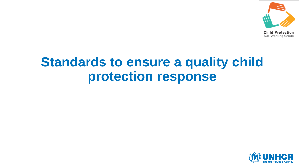

#### **Standards to ensure a quality child protection response**

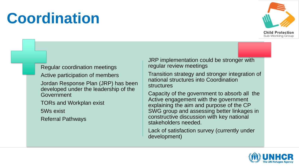#### **Coordination**



#### Regular coordination meetings

Active participation of members

Jordan Response Plan (JRP) has been developed under the leadership of the Government

TORs and Workplan exist

5Ws exist

Referral Pathways

JRP implementation could be stronger with regular review meetings

Transition strategy and stronger integration of national structures into Coordination structures

Capacity of the government to absorb all the Active engagement with the government explaining the aim and purpose of the CP SWG group and assessing better linkages in constructive discussion with key national stakeholders needed.

Lack of satisfaction survey (currently under development)

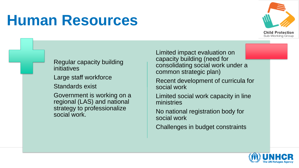#### **Human Resources**



Regular capacity building initiatives

Large staff workforce

Standards exist

Government is working on a regional (LAS) and national strategy to professionalize social work.

Limited impact evaluation on capacity building (need for consolidating social work under a common strategic plan)

Recent development of curricula for social work

Limited social work capacity in line ministries

No national registration body for social work

Challenges in budget constraints

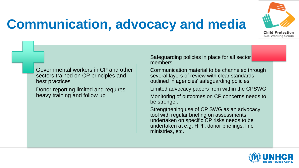

#### **Communication, advocacy and media**

Governmental workers in CP and other sectors trained on CP principles and best practices

Donor reporting limited and requires heavy training and follow up

Safeguarding policies in place for all sector members

Communication material to be channeled through several layers of review with clear standards outlined in agencies' safeguarding policies

Limited advocacy papers from within the CPSWG

Monitoring of outcomes on CP concerns needs to be stronger.

Strengthening use of CP SWG as an advocacy tool with regular briefing on assessments undertaken on specific CP risks needs to be undertaken at e.g. HPF, donor briefings, line ministries, etc.

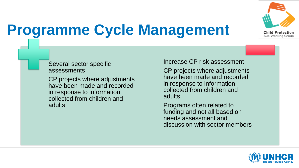

## **Programme Cycle Management**

#### Several sector specific assessments

CP projects where adjustments have been made and recorded in response to information collected from children and adults

Increase CP risk assessment

CP projects where adjustments have been made and recorded in response to information collected from children and adults

Programs often related to funding and not all based on needs assessment and discussion with sector members

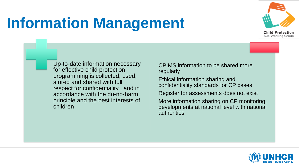## **Information Management**



Up-to-date information necessary for effective child protection programming is collected, used, stored and shared with full respect for confidentiality , and in accordance with the do-no-harm principle and the best interests of children

CPIMS information to be shared more regularly

Ethical information sharing and confidentiality standards for CP cases

Register for assessments does not exist

More information sharing on CP monitoring, developments at national level with national authorities

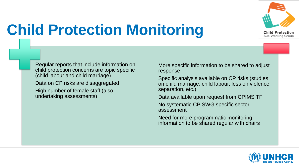

# **Child Protection Monitoring**

Regular reports that include information on child protection concerns are topic specific (child labour and child marriage)

Data on CP risks are disaggregated

High number of female staff (also undertaking assessments)

More specific information to be shared to adjust response

Specific analysis available on CP risks (studies on child marriage, child labour, less on violence, separation, etc.)

Data available upon request from CPIMS TF

No systematic CP SWG specific sector assessment

Need for more programmatic monitoring information to be shared regular with chairs

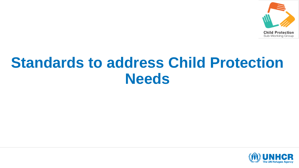

#### **Standards to address Child Protection Needs**

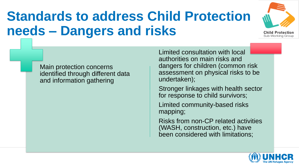#### **Standards to address Child Protection needs – Dangers and risks**



Main protection concerns identified through different data and information gathering

Limited consultation with local authorities on main risks and dangers for children (common risk assessment on physical risks to be undertaken);

Stronger linkages with health sector for response to child survivors;

Limited community-based risks mapping;

Risks from non-CP related activities (WASH, construction, etc.) have been considered with limitations;

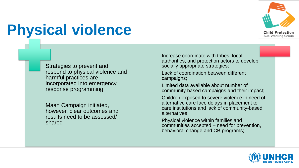

## **Physical violence**

Strategies to prevent and respond to physical violence and harmful practices are incorporated into emergency response programming

Maan Campaign initiated, however, clear outcomes and results need to be assessed/ shared

Increase coordinate with tribes, local authorities, and protection actors to develop socially appropriate strategies;

Lack of coordination between different campaigns;

Limited data available about number of community based campaigns and their impact;

Children exposed to severe violence in need of alternative care face delays in placement to care institutions and lack of community-based alternatives

Physical violence within families and communities accepted – need for prevention, behavioral change and CB programs;

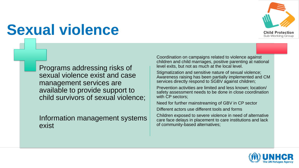

## **Sexual violence**

Programs addressing risks of sexual violence exist and case management services are available to provide support to child survivors of sexual violence;

Information management systems exist

Coordination on campaigns related to violence against children and child marriages, positive parenting at national level exits, but not as much at the local level.

Stigmatization and sensitive nature of sexual violence; Awareness raising has been partially implemented and CM services directly respond to SGBV against children;

Prevention activities are limited and less known; location/ safety assessment needs to be done in close coordination with CP sectors;

Need for further mainstreaming of GBV in CP sector

Different actors use different tools and forms

Children exposed to severe violence in need of alternative care face delays in placement to care institutions and lack of community-based alternatives;

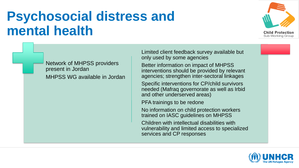#### **Psychosocial distress and mental health**



Network of MHPSS providers present in Jordan MHPSS WG available in Jordan Limited client feedback survey available but only used by some agencies

Better information on impact of MHPSS interventions should be provided by relevant agencies; strengthen inter-sectoral linkages

Specific interventions for CP/child survivors needed (Mafraq governorate as well as Irbid and other underserved areas)

PFA trainings to be redone

No information on child protection workers trained on IASC guidelines on MHPSS

Children with intellectual disabilities with vulnerability and limited access to specialized services and CP responses

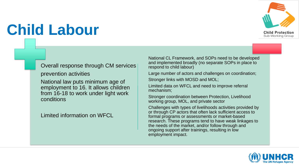

## **Child Labour**

#### Overall response through CM services

prevention activities

National law puts minimum age of employment to 16. It allows children from 16-18 to work under light work conditions

Limited information on WFCL

National CL Framework, and SOPs need to be developed and implemented broadly (no separate SOPs in place to respond to child labour)

Large number of actors and challenges on coordination;

Stronger links with MOSD and MOL;

Limited data on WFCL and need to improve referral mechanism;

Stronger coordination between Protection, Livelihood working group, MOL, and private sector

Challenges with types of livelihoods activities provided by or through CP actors that often lack sufficient access to formal programs or assessments or market-based research. These programs tend to have weak linkages to the needs of the market, and/or follow through and ongoing support after trainings, resulting in low employment impact.

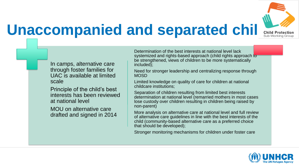

## **Unaccompanied and separated chil Child Protection**

In camps, alternative care through foster families for UAC is available at limited scale

Principle of the child's best interests has been reviewed at national level

MOU on alternative care drafted and signed in 2014 Determination of the best interests at national level lack systemized and rights-based approach (child rights approach to be strengthened, views of children to be more systematically included);

Need for stronger leadership and centralizing response through **MOSD** 

Limited knowledge on quality of care for children at national childcare institutions;

Separation of children resulting from limited best interests determination at national level (remarried mothers in most cases lose custody over children resulting in children being raised by non-parent)

More analysis on alternative care at national level and full review of alternative care guidelines in line with the best interests of the child (community-based alternative care as a preferred choice that should be developed);

Stronger monitoring mechanisms for children under foster care

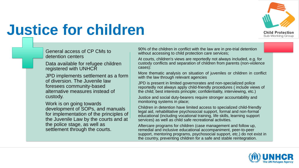

### **Justice for children**

General access of CP CMs to detention centers

Data available for refugee children registered with UNHCR

JPD implements settlement as a form of diversion. The Juvenile law foresees community-based alternative measures instead of custody.

Work is on going towards development of SOPs, and manuals for implementation of the principles of the Juvenile Law by the courts and at the police stage, as well as settlement through the courts.

90% of the children in conflict with the law are in pre-trial detention without accessing to child protection care services;

At courts, children's views are reportedly not always included, e.g. for custody conflicts and separation of children from parents (non-violence cases):

More thematic analysis on situation of juveniles or children in conflict with the law through relevant agencies

JPD is present in limited governorates and non-specialized police reportedly not always apply child-friendly procedures ( include views of the child; best interests principle; confidentiality, interviewing, etc.)

Justice and social duty-bearers require stronger accountability and monitoring systems in place;

Children in detention have limited access to specialized child-friendly legal aid, rehabilitative psychosocial support, formal and non-formal educational (including vocational training, life skills, learning support services) as well as child safe recreational activities.

Aftercare programs for children (case management and follow up, remedial and inclusive educational accompaniment, peer-to-peer support, mentoring programs, psychosocial support, etc.) do not exist in the country, preventing children for a safe and stable reintegration.

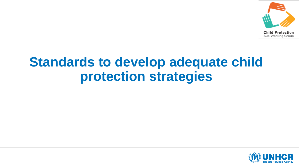

#### **Standards to develop adequate child protection strategies**

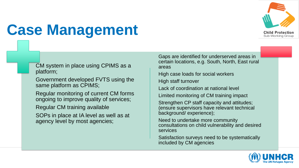

## **Case Management**

CM system in place using CPIMS as a platform;

Government developed FVTS using the same platform as CPIMS;

Regular monitoring of current CM forms ongoing to improve quality of services;

Regular CM training available

SOPs in place at IA level as well as at agency level by most agencies;

Gaps are identified for underserved areas in certain locations, e.g. South, North, East rural areas

High case loads for social workers

High staff turnover

Lack of coordination at national level

Limited monitoring of CM training impact

Strengthen CP staff capacity and attitudes; (ensure supervisors have relevant technical background/ experience);

Need to undertake more community consultations on child vulnerability and desired services

Satisfaction surveys need to be systematically included by CM agencies

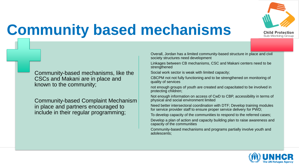

### **Community based mechanisms**

Community-based mechanisms, like the CSCs and Makani are in place and known to the community;

Community-based Complaint Mechanism in place and partners encouraged to include in their regular programming;

Overall, Jordan has a limited community-based structure in place and civil society structures need development

Linkages between CB mechanisms, CSC and Makani centers need to be strengthened

Social work sector is weak with limited capacity;

CBCPM not not fully functioning and to be strengthened on monitoring of quality of services

not enough groups of youth are created and capacitated to be involved in protecting children;

Not enough information on access of CwD to CBP, accessibility in terms of physical and social environment limited

Need better intersectoral coordination with DTF; Develop training modules for service provider staff to ensure proper service delivery for PWD;

To develop capacity of the communities to respond to the referred cases;

Develop a plan of action and capacity building plan to raise awareness and capacity of the communities

Community-based mechanisms and programs partially involve youth and adolescents;

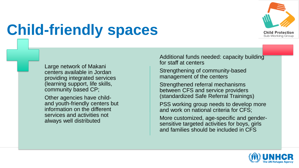

## **Child-friendly spaces**

Large network of Makani centers available in Jordan providing integrated services (learning support, life skills, community based CP;

Other agencies have childand youth-friendly centers but information on the different services and activities not always well distributed

Additional funds needed: capacity building for staff at centers

Strengthening of community-based management of the centers

Strengthened referral mechanisms between CFS and service providers (standardized Safe Referral Trainings)

PSS working group needs to develop more and work on national criteria for CFS;

More customized, age-specific and gendersensitive targeted activities for boys, girls and families should be included in CFS

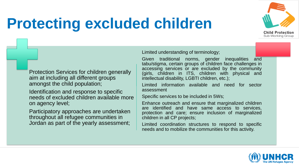#### **Protecting excluded children**



Protection Services for children generally aim at including all different groups amongst the child population;

Identification and response to specific needs of excluded children available more on agency level;

Participatory approaches are undertaken throughout all refugee communities in Jordan as part of the yearly assessment;

Limited understanding of terminology;

Given traditional norms, gender inequalities and tabu/stigma, certain groups of children face challenges in accessing services or are excluded by the community (girls, children in ITS, children with physical and intellectual disability, LGBTI children, etc.);

Limited information available and need for sector assessment

Specific services to be included in 5Ws;

Enhance outreach and ensure that marginalized children are identified and have same access to services, protection and care; ensure inclusion of marginalized children in all CP projects;

Limited coordination structures to respond to specific needs and to mobilize the communities for this activity.

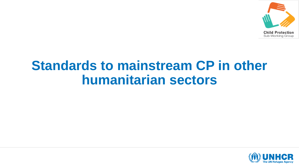

#### **Standards to mainstream CP in other humanitarian sectors**

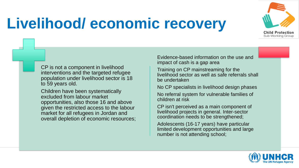

### **Livelihood/ economic recovery**

CP is not a component in livelihood interventions and the targeted refugee population under livelihood sector is 18 to 59 years old.

Children have been systematically excluded from labour market opportunities, also those 16 and above given the restricted access to the labour market for all refugees in Jordan and overall depletion of economic resources;

Evidence-based information on the use and impact of cash is a gap area

Training on CP mainstreaming for the livelihood sector as well as safe referrals shall be undertaken

No CP specialists in livelihood design phases

No referral system for vulnerable families of children at risk

CP isn't perceived as a main component of livelihood projects in general. Inter-sector coordination needs to be strengthened;

Adolescents (16-17 years) have particular limited development opportunities and large number is not attending school;

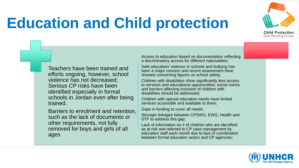

## **Education and Child protection**

Teachers have been trained and efforts ongoing, however, school violence has not decreased; Serious CP risks have been identified especially in formal schools in Jordan even after being trained.

Barriers to enrolment and retention, such as the lack of documents or other requirements, not fully removed for boys and girls of all ages

Access to education based on documentation reflecting a discriminatory access for different nationalities;

Safe education/ violence in schools and bullying has been a major concern and recent assessment have showed concerning figures on school safety;

Children with disabilities show significantly less access to services and educational opportunities; social norms and barriers affecting inclusion of children with disabilities should be addressed;

Children with special education needs have limited services accessible and available to them;

Gaps in funding to cover all needs;

Stronger linkages between CPSWG, EWG, Health and DTF to address this gap;

Lack of information on # of children who are identified as at risk and referred to CP case management by education staff each month due to lack of coordination between formal education actors and CP agencies;

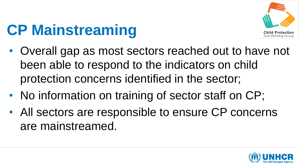

## **CP Mainstreaming**

- Overall gap as most sectors reached out to have not been able to respond to the indicators on child protection concerns identified in the sector;
- No information on training of sector staff on CP;
- All sectors are responsible to ensure CP concerns are mainstreamed.